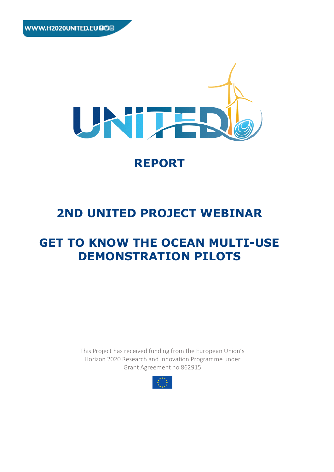

# **REPORT**

# **2ND UNITED PROJECT WEBINAR**

# **GET TO KNOW THE OCEAN MULTI-USE DEMONSTRATION PILOTS**

This Project has received funding from the European Union's Horizon 2020 Research and Innovation Programme under Grant Agreement no 862915

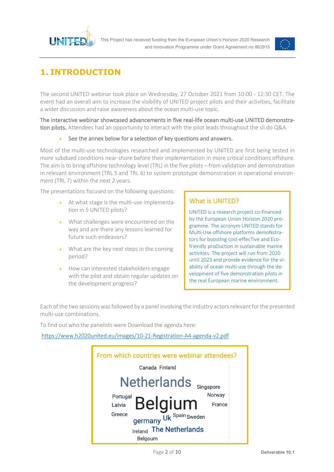



# **1. INTRODUCTION**

The second UNITED webinar took place on Wednesday, 27 October 2021 from 10:00 - 12:30 CET. The event had an overall aim to increase the visibility of UNITED project pilots and their activities, facilitate a wider discussion and raise awareness about the ocean multi-use topic.

The interactive webinar showcased advancements in five real-life ocean multi-use UNITED demonstration pilots. Attendees had an opportunity to interact with the pilot leads throughout the sli.do Q&A.

## See the annex below for a selection of key questions and answers.

Most of the multi-use technologies researched and implemented by UNITED are first being tested in more subdued conditions near-shore before their implementation in more critical conditions offshore. The aim is to bring offshore technology level (TRL) in the five pilots – from validation and demonstration in relevant environment (TRL 5 and TRL 6) to system prototype demonstration in operational environment (TRL 7) within the next 2 years.

The presentations focused on the following questions:

- ▶ At what stage is the multi-use implementation in 5 UNITED pilots?
- What challenges were encountered on the way and are there any lessons learned for future such endeavors?
- $\triangleright$  What are the key next steps in the coming period?
- How can interested stakeholders engage with the pilot and obtain regular updates on the development progress?

# What is UNITED?

UNITED is a research project co-financed by the European Union Horizon 2020 programme. The acronym UNITED stands for Multi-Use offshore platforms demoNstrators for boostIng cost-effecTive and Ecofriendly proDuction in sustainable marine activities. The project will run from 2020 until 2023 and provide evidence for the viability of ocean multi-use through the development of five demonstration pilots in the real European marine environment.

Each of the two sessions was followed by a panel involving the industry actors relevant for the presented multi-use combinations.

To find out who the panelists were Download the agenda here:

https://www.h2020united.eu/images/10-21-Registration-A4-agenda-v2.pdf

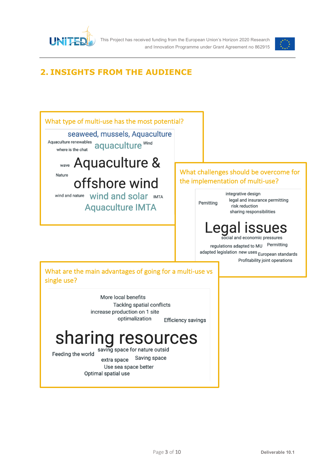

This Project has received funding from the European Union's Horizon 2020 Research and Innovation Programme under Grant Agreement no 862915



# **2. INSIGHTS FROM THE AUDIENCE**

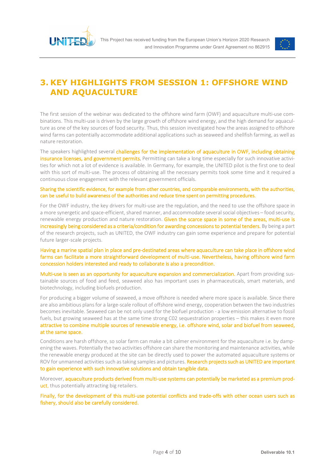



# **3. KEY HIGHLIGHTS FROM SESSION 1: OFFSHORE WIND AND AQUACULTURE**

The first session of the webinar was dedicated to the offshore wind farm (OWF) and aquaculture multi-use combinations. This multi-use is driven by the large growth of offshore wind energy, and the high demand for aquaculture as one of the key sources of food security. Thus, this session investigated how the areas assigned to offshore wind farms can potentially accommodate additional applications such as seaweed and shellfish farming, as well as nature restoration.

The speakers highlighted several challenges for the implementation of aquaculture in OWF, including obtaining insurance licenses, and government permits. Permitting can take a long time especially for such innovative activities for which not a lot of evidence is available. In Germany, for example, the UNITED pilot is the first one to deal with this sort of multi-use. The process of obtaining all the necessary permits took some time and it required a continuous close engagement with the relevant government officials.

#### Sharing the scientific evidence, for example from other countries, and comparable environments, with the authorities, can be useful to build awareness of the authorities and reduce time spent on permitting procedures.

For the OWF industry, the key drivers for multi-use are the regulation, and the need to use the offshore space in a more synergetic and space-efficient, shared manner, and accommodate several social objectives – food security, renewable energy production and nature restoration. Given the scarce space in some of the areas, multi-use is increasingly being considered as a criteria/condition for awarding concessions to potential tenders. By being a part of the research projects, such as UNITED, the OWF industry can gain some experience and prepare for potential future larger-scale projects.

#### Having a marine spatial plan in place and pre-destinated areas where aquaculture can take place in offshore wind farms can facilitate a more straightforward development of multi-use. Nevertheless, having offshore wind farm concession holders interested and ready to collaborate is also a precondition.

Multi-use is seen as an opportunity for aquaculture expansion and commercialization. Apart from providing sustainable sources of food and feed, seaweed also has important uses in pharmaceuticals, smart materials, and biotechnology, including biofuels production.

For producing a bigger volume of seaweed, a move offshore is needed where more space is available. Since there are also ambitious plans for a large-scale rollout of offshore wind energy, cooperation between the two industries becomes inevitable. Seaweed can be not only used for the biofuel production - a low emission alternative to fossil fuels, but growing seaweed has at the same time strong C02 sequestration properties – this makes it even more attractive to combine multiple sources of renewable energy, i.e. offshore wind, solar and biofuel from seaweed, at the same space.

Conditions are harsh offshore, so solar farm can make a bit calmer environment for the aquaculture i.e. by dampening the waves. Potentially the two activities offshore can share the monitoring and maintenance activities, while the renewable energy produced at the site can be directly used to power the automated aquaculture systems or ROV for unmanned activities such as taking samples and pictures. Research projects such as UNITED are important to gain experience with such innovative solutions and obtain tangible data.

Moreover, aquaculture products derived from multi-use systems can potentially be marketed as a premium product, thus potentially attracting big retailers.

Finally, for the development of this multi-use potential conflicts and trade-offs with other ocean users such as fishery, should also be carefully considered.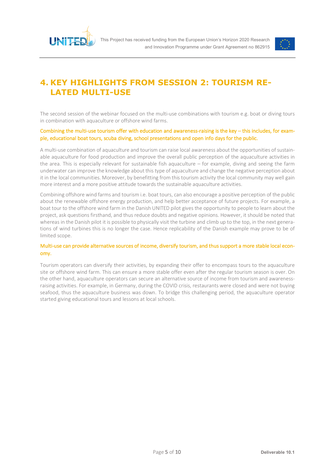



# **4. KEY HIGHLIGHTS FROM SESSION 2: TOURISM RE-LATED MULTI-USE**

The second session of the webinar focused on the multi-use combinations with tourism e.g. boat or diving tours in combination with aquaculture or offshore wind farms.

#### Combining the multi-use tourism offer with education and awareness-raising is the key – this includes, for example, educational boat tours, scuba diving, school presentations and open info days for the public.

A multi-use combination of aquaculture and tourism can raise local awareness about the opportunities of sustainable aquaculture for food production and improve the overall public perception of the aquaculture activities in the area. This is especially relevant for sustainable fish aquaculture – for example, diving and seeing the farm underwater can improve the knowledge about this type of aquaculture and change the negative perception about it in the local communities. Moreover, by benefitting from this tourism activity the local community may well gain more interest and a more positive attitude towards the sustainable aquaculture activities.

Combining offshore wind farms and tourism i.e. boat tours, can also encourage a positive perception of the public about the renewable offshore energy production, and help better acceptance of future projects. For example, a boat tour to the offshore wind farm in the Danish UNITED pilot gives the opportunity to people to learn about the project, ask questions firsthand, and thus reduce doubts and negative opinions. However, it should be noted that whereas in the Danish pilot it is possible to physically visit the turbine and climb up to the top, in the next generations of wind turbines this is no longer the case. Hence replicability of the Danish example may prove to be of limited scope.

#### Multi-use can provide alternative sources of income, diversify tourism, and thus support a more stable local economy.

Tourism operators can diversify their activities, by expanding their offer to encompass tours to the aquaculture site or offshore wind farm. This can ensure a more stable offer even after the regular tourism season is over. On the other hand, aquaculture operators can secure an alternative source of income from tourism and awarenessraising activities. For example, in Germany, during the COVID crisis, restaurants were closed and were not buying seafood, thus the aquaculture business was down. To bridge this challenging period, the aquaculture operator started giving educational tours and lessons at local schools.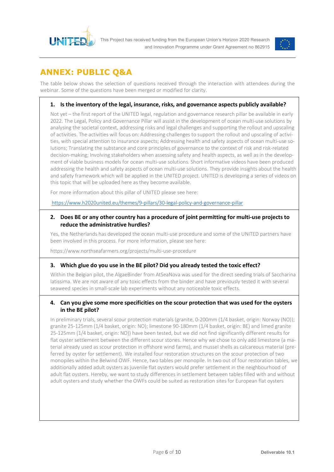



# **ANNEX: PUBLIC Q&A**

The table below shows the selection of questions received through the interaction with attendees during the webinar. Some of the questions have been merged or modified for clarity.

## **1. Is the inventory of the legal, insurance, risks, and governance aspects publicly available?**

Not yet – the first report of the UNITED legal, regulation and governance research pillar be available in early 2022. The Legal, Policy and Governance Pillar will assist in the development of ocean multi-use solutions by analysing the societal context, addressing risks and legal challenges and supporting the rollout and upscaling of activities. The activities will focus on: Addressing challenges to support the rollout and upscaling of activities, with special attention to insurance aspects; Addressing health and safety aspects of ocean multi-use solutions; Translating the substance and core principles of governance to the context of risk and risk-related decision-making; Involving stakeholders when assessing safety and health aspects, as well as in the development of viable business models for ocean multi-use solutions. Short informative videos have been produced addressing the health and safety aspects of ocean multi-use solutions. They provide insights about the health and safety framework which will be applied in the UNITED project. UNITED is developing a series of videos on this topic that will be uploaded here as they become available.

For more information about this pillar of UNITED please see here:

https://www.h2020united.eu/themes/9-pillars/30-legal-policy-and-governance-pillar

#### **2. Does BE or any other country has a procedure of joint permitting for multi-use projects to reduce the administrative hurdles?**

Yes, the Netherlands has developed the ocean multi-use procedure and some of the UNITED partners have been involved in this process. For more information, please see here:

https://www.northseafarmers.org/projects/multi-use-procedure

#### **3. Which glue do you use in the BE pilot? Did you already tested the toxic effect?**

Within the Belgian pilot, the AlgaeBinder from AtSeaNova was used for the direct seeding trials of Saccharina latissima. We are not aware of any toxic effects from the binder and have previously tested it with several seaweed species in small-scale lab experiments without any noticeable toxic effects.

### **4. Can you give some more specificities on the scour protection that was used for the oysters in the BE pilot?**

In preliminary trials, several scour protection materials (granite, 0-200mm (1/4 basket, origin: Norway (NO)); granite 25-125mm (1/4 basket, origin: NO); limestone 90-180mm (1/4 basket, origin: BE) and limed granite 25-125mm (1/4 basket, origin: NO)) have been tested, but we did not find significantly different results for flat oyster settlement between the different scour stones. Hence why we chose to only add limestone (a material already used as scour protection in offshore wind farms), and mussel shells as calcareous material (preferred by oyster for settlement). We installed four restoration structures on the scour protection of two monopiles within the Belwind OWF. Hence, two tables per monopile. In two out of four restoration tables, we additionally added adult oysters as juvenile flat oysters would prefer settlement in the neighbourhood of adult flat oysters. Hereby, we want to study differences in settlement between tables filled with and without adult oysters and study whether the OWFs could be suited as restoration sites for European flat oysters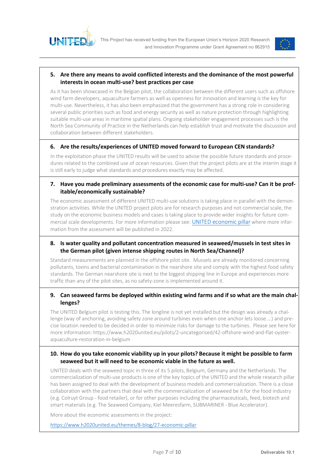



### **5. Are there any means to avoid conflicted interests and the dominance of the most powerful interests in ocean multi-use? best practices per case**

As it has been showcased in the Belgian pilot, the collaboration between the different users such as offshore wind farm developers, aquaculture farmers as well as openness for innovation and learning is the key for multi-use. Nevertheless, it has also been emphasized that the government has a strong role in considering several public priorities such as food and energy security as well as nature protection through highlighting suitable multi-use areas in maritime spatial plans. Ongoing stakeholder engagement processes such is the North Sea Community of Practice in the Netherlands can help establish trust and motivate the discussion and collaboration between different stakeholders.

### **6. Are the results/experiences of UNITED moved forward to European CEN standards?**

In the exploitation phase the UNITED results will be used to advise the possible future standards and procedures related to the combined use of ocean resources. Given that the project pilots are at the interim stage it is still early to judge what standards and procedures exactly may be affected.

### **7. Have you made preliminary assessments of the economic case for multi-use? Can it be profitable/economically sustainable?**

The economic assessment of different UNITED multi-use solutions is taking place in parallel with the demonstration activities. While the UNITED project pilots are for research purposes and not commercial scale, the study on the economic business models and cases is taking place to provide wider insights for future commercial scale developments. For more information please see: UNITED economic pillar where more information from the assessment will be published in 2022.

## **8. Is water quality and pollutant concentration measured in seaweed/mussels in test sites in the German pilot (given intense shipping routes in North Sea/Channel)?**

Standard measurements are planned in the offshore pilot site. Mussels are already monitored concerning pollutants, toxins and bacterial contamination in the nearshore site and comply with the highest food safety standards. The German nearshore site is next to the biggest shipping line in Europe and experiences more traffic than any of the pilot sites, as no safety-zone is implemented around it.

### **9. Can seaweed farms be deployed within existing wind farms and if so what are the main challenges?**

The UNITED Belgium pilot is testing this. The longline is not yet installed but the design was already a challenge (way of anchoring, avoiding safety zone around turbines even when one anchor lets loose....) and precise location needed to be decided in order to minimize risks for damage to the turbines. Please see here for more information: https://www.h2020united.eu/pilots/2-uncategorised/42-offshore-wind-and-flat-oysteraquaculture-restoration-in-belgium

### **10. How do you take economic viability up in your pilots? Because it might be possible to farm seaweed but it will need to be economic viable in the future as well.**

UNITED deals with the seaweed topic in three of its 5 pilots, Belgium, Germany and the Netherlands. The commercialization of multi-use products is one of the key topics of the UNITED and the whole research pillar has been assigned to deal with the development of business models and commercialization. There is a close collaboration with the partners that deal with the commercialization of seaweed be it for the food industry (e.g. Colruyt Group - food retailer), or for other purposes including the pharmaceuticals, feed, biotech and smart materials (e.g. The Seaweed Company, Kiel Meeresfarm, SUBMARINER - Blue Accelerator).

More about the economic assessments in the project:

https://www.h2020united.eu/themes/8-blog/27-economic-pillar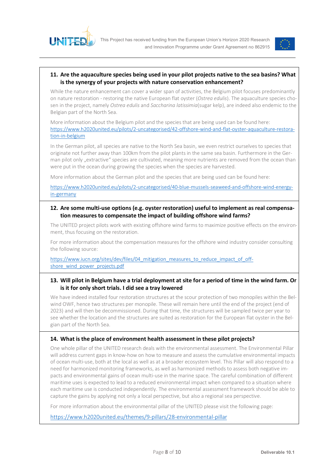



#### **11. Are the aquaculture species being used in your pilot projects native to the sea basins? What is the synergy of your projects with nature conservation enhancement?**

While the nature enhancement can cover a wider span of activities, the Belgium pilot focuses predominantly on nature restoration - restoring the native European flat oyster (*Ostrea edulis*). The aquaculture species chosen in the project, namely *Ostrea edulis* and *Saccharina latissimia*(sugar kelp), are indeed also endemic to the Belgian part of the North Sea.

More information about the Belgium pilot and the species that are being used can be found here: https://www.h2020united.eu/pilots/2-uncategorised/42-offshore-wind-and-flat-oyster-aquaculture-restoration-in-belgium

In the German pilot, all species are native to the North Sea basin, we even restrict ourselves to species that originate not further away than 100km from the pilot plants in the same sea basin. Furthermore in the German pilot only "extractive" species are cultivated, meaning more nutrients are removed from the ocean than were put in the ocean during growing the species when the species are harvested.

More information about the German pilot and the species that are being used can be found here:

https://www.h2020united.eu/pilots/2-uncategorised/40-blue-mussels-seaweed-and-offshore-wind-energyin-germany

#### **12. Are some multi-use options (e.g. oyster restoration) useful to implement as real compensation measures to compensate the impact of building offshore wind farms?**

The UNITED project pilots work with existing offshore wind farms to maximize positive effects on the environment, thus focusing on the restoration.

For more information about the compensation measures for the offshore wind industry consider consulting the following source:

https://www.iucn.org/sites/dev/files/04 mitigation measures to reduce impact of offshore\_wind\_power\_projects.pdf

### **13. Will pilot in Belgium have a trial deployment at site for a period of time in the wind farm. Or is it for only short trials. I did see a tray lowered**

We have indeed installed four restoration structures at the scour protection of two monopiles within the Belwind OWF, hence two structures per monopile. These will remain here until the end of the project (end of 2023) and will then be decommissioned. During that time, the structures will be sampled twice per year to see whether the location and the structures are suited as restoration for the European flat oyster in the Belgian part of the North Sea.

#### **14. What is the place of environment health assessment in these pilot projects?**

One whole pillar of the UNITED research deals with the environmental assessment. The Environmental Pillar will address current gaps in know-how on how to measure and assess the cumulative environmental impacts of ocean multi-use, both at the local as well as at a broader ecosystem level. This Pillar will also respond to a need for harmonized monitoring frameworks, as well as harmonized methods to assess both negative impacts and environmental gains of ocean multi-use in the marine space. The careful combination of different maritime uses is expected to lead to a reduced environmental impact when compared to a situation where each maritime use is conducted independently. The environmental assessment framework should be able to capture the gains by applying not only a local perspective, but also a regional sea perspective.

For more information about the environmental pillar of the UNITED please visit the following page:

https://www.h2020united.eu/themes/9-pillars/28-environmental-pillar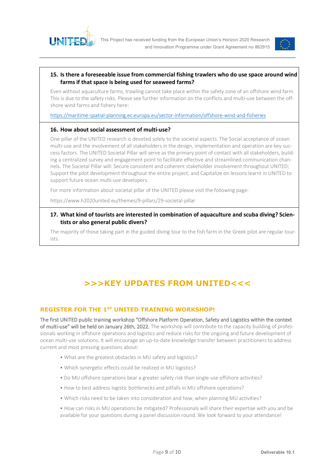



#### **15. Is there a foreseeable issue from commercial fishing trawlers who do use space around wind farms if that space is being used for seaweed farms?**

Even without aquaculture farms, trawling cannot take place within the safety zone of an offshore wind farm. This is due to the safety risks. Please see further information on the conflicts and multi-use between the offshore wind farms and fishery here:

https://maritime-spatial-planning.ec.europa.eu/sector-information/offshore-wind-and-fisheries

#### **16. How about social assessment of multi-use?**

One pillar of the UNITED research is devoted solely to the societal aspects. The Social acceptance of ocean multi-use and the involvement of all stakeholders in the design, implementation and operation are key success factors. The UNITED Societal Pillar will serve as the primary point of contact with all stakeholders, building a centralized survey and engagement point to facilitate effective and streamlined communication channels. The Societal Pillar will: Secure consistent and coherent stakeholder involvement throughout UNITED; Support the pilot development throughout the entire project; and Capitalize on lessons learnt in UNITED to support future ocean multi-use developers.

For more information about societal pillar of the UNITED please visit the following page:

https://www.h2020united.eu/themes/9-pillars/29-societal-pillar

### **17. What kind of tourists are interested in combination of aquaculture and scuba diving? Scientists or also general public divers?**

The majority of those taking part in the guided diving tour to the fish farm in the Greek pilot are regular tourists.

# **>>>KEY UPDATES FROM UNITED<<<**

## **REGISTER FOR THE 1ST UNITED TRAINING WORKSHOP!**

The first UNITED public training workshop "Offshore Platform Operation, Safety and Logistics within the context of multi-use" will be held on January 26th, 2022. The workshop will contribute to the capacity building of professionals working in offshore operations and logistics and reduce risks for the ongoing and future development of ocean multi-use solutions. It will encourage an up-to-date knowledge transfer between practitioners to address current and most pressing questions about:

- What are the greatest obstacles in MU safety and logistics?
- Which synergetic effects could be realized in MU logistics?
- Do MU offshore operations bear a greater safety risk than single-use offshore activities?
- How to best address logistic bottlenecks and pitfalls in MU offshore operations?
- Which risks need to be taken into consideration and how, when planning MU activities?
- How can risks in MU operations be mitigated? Professionals will share their expertise with you and be available for your questions during a panel discussion round. We look forward to your attendance!